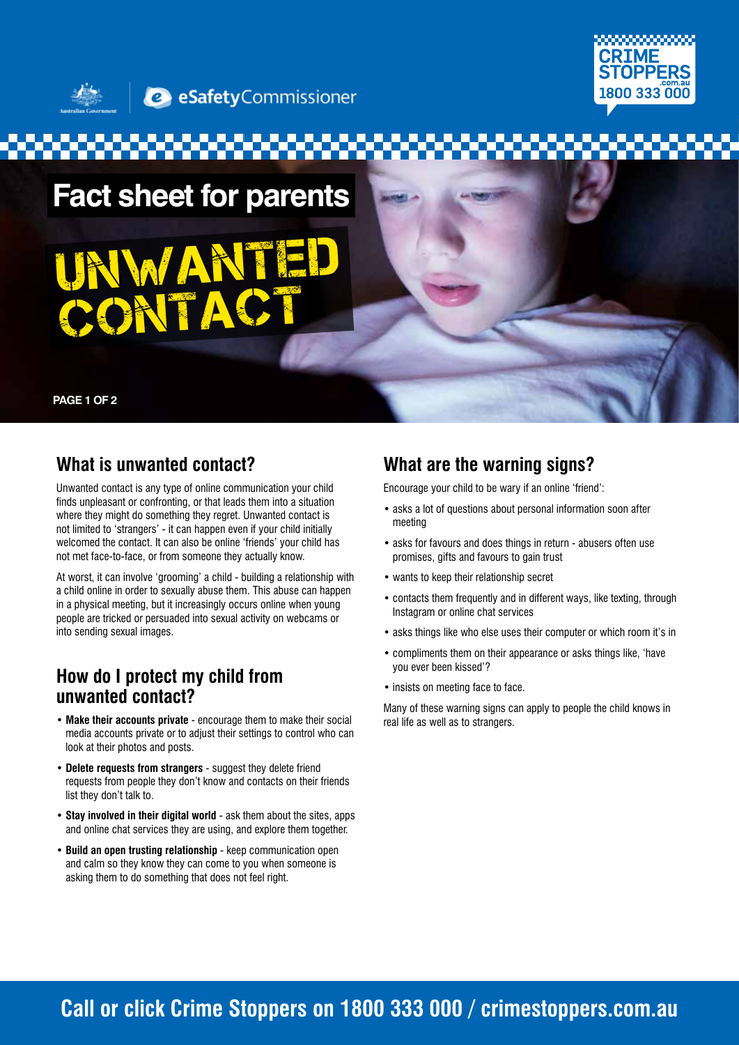

**2** eSafetyCommissioner

**Fact sheet for parents** 

# UNAH CONTACT

**PAGE 1 OF 2**

### **What is unwanted contact?**

Unwanted contact is any type of online communication your child finds unpleasant or confronting, or that leads them into a situation where they might do something they regret. Unwanted contact is not limited to 'strangers' - it can happen even if your child initially welcomed the contact. It can also be online 'friends' your child has not met face-to-face, or from someone they actually know.

At worst, it can involve 'grooming' a child - building a relationship with a child online in order to sexually abuse them. This abuse can happen in a physical meeting, but it increasingly occurs online when young people are tricked or persuaded into sexual activity on webcams or into sending sexual images.

### **How do I protect my child from unwanted contact?**

- **Make their accounts private** encourage them to make their social media accounts private or to adjust their settings to control who can look at their photos and posts.
- **Delete requests from strangers** suggest they delete friend requests from people they don't know and contacts on their friends list they don't talk to.
- **Stay involved in their digital world** ask them about the sites, apps and online chat services they are using, and explore them together.
- **Build an open trusting relationship** keep communication open and calm so they know they can come to you when someone is asking them to do something that does not feel right.

### **What are the warning signs?**

Encourage your child to be wary if an online 'friend':

- asks a lot of questions about personal information soon after meeting
- asks for favours and does things in return abusers often use promises, gifts and favours to gain trust
- wants to keep their relationship secret
- contacts them frequently and in different ways, like texting, through Instagram or online chat services
- asks things like who else uses their computer or which room it's in
- compliments them on their appearance or asks things like, 'have you ever been kissed'?
- insists on meeting face to face.

Many of these warning signs can apply to people the child knows in real life as well as to strangers.

## **Call or click Crime Stoppers on 1800 333 000 / crimestoppers.com.au**